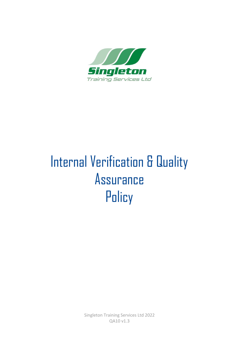

# Internal Verification & Quality Assurance **Policy**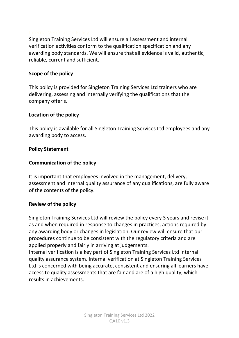Singleton Training Services Ltd will ensure all assessment and internal verification activities conform to the qualification specification and any awarding body standards. We will ensure that all evidence is valid, authentic, reliable, current and sufficient.

#### **Scope of the policy**

This policy is provided for Singleton Training Services Ltd trainers who are delivering, assessing and internally verifying the qualifications that the company offer's.

#### **Location of the policy**

This policy is available for all Singleton Training Services Ltd employees and any awarding body to access.

#### **Policy Statement**

### **Communication of the policy**

It is important that employees involved in the management, delivery, assessment and internal quality assurance of any qualifications, are fully aware of the contents of the policy.

#### **Review of the policy**

Singleton Training Services Ltd will review the policy every 3 years and revise it as and when required in response to changes in practices, actions required by any awarding body or changes in legislation. Our review will ensure that our procedures continue to be consistent with the regulatory criteria and are applied properly and fairly in arriving at judgements.

Internal verification is a key part of Singleton Training Services Ltd internal quality assurance system. Internal verification at Singleton Training Services Ltd is concerned with being accurate, consistent and ensuring all learners have access to quality assessments that are fair and are of a high quality, which results in achievements.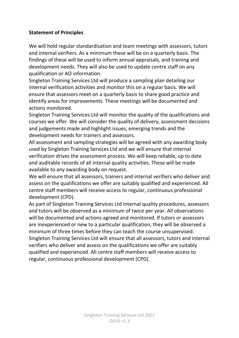# **Statement of Principles**

We will hold regular standardisation and team meetings with assessors, tutors and internal verifiers. As a minimum these will be on a quarterly basis. The findings of these will be used to inform annual appraisals, and training and development needs. They will also be used to update centre staff on any qualification or AO information.

Singleton Training Services Ltd will produce a sampling plan detailing our internal verification activities and monitor this on a regular basis. We will ensure that assessors meet on a quarterly basis to share good practice and identify areas for improvements. These meetings will be documented and actions monitored.

Singleton Training Services Ltd will monitor the quality of the qualifications and courses we offer. We will consider the quality of delivery, assessment decisions and judgements made and highlight issues, emerging trends and the development needs for trainers and assessors.

All assessment and sampling strategies will be agreed with any awarding body used by Singleton Training Services Ltd and we will ensure that internal verification drives the assessment process. We will keep reliable, up to date and auditable records of all internal quality activities. These will be made available to any awarding body on request.

We will ensure that all assessors, trainers and internal verifiers who deliver and assess on the qualifications we offer are suitably qualified and experienced. All centre staff members will receive access to regular, continuous professional development (CPD).

As part of Singleton Training Services Ltd internal quality procedures, assessors and tutors will be observed as a minimum of twice per year. All observations will be documented and actions agreed and monitored. If tutors or assessors are inexperienced or new to a particular qualification, they will be observed a minimum of three times before they can teach the course unsupervised. Singleton Training Services Ltd will ensure that all assessors, tutors and internal verifiers who deliver and assess on the qualifications we offer are suitably qualified and experienced. All centre staff members will receive access to regular, continuous professional development (CPD).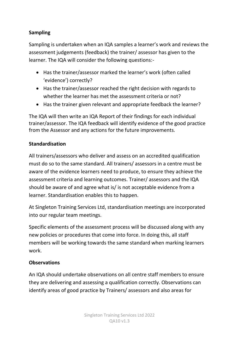# **Sampling**

Sampling is undertaken when an IQA samples a learner's work and reviews the assessment judgements (feedback) the trainer/ assessor has given to the learner. The IQA will consider the following questions:-

- Has the trainer/assessor marked the learner's work (often called 'evidence') correctly?
- Has the trainer/assessor reached the right decision with regards to whether the learner has met the assessment criteria or not?
- Has the trainer given relevant and appropriate feedback the learner?

The IQA will then write an IQA Report of their findings for each individual trainer/assessor. The IQA feedback will identify evidence of the good practice from the Assessor and any actions for the future improvements.

## **Standardisation**

All trainers/assessors who deliver and assess on an accredited qualification must do so to the same standard. All trainers/ assessors in a centre must be aware of the evidence learners need to produce, to ensure they achieve the assessment criteria and learning outcomes. Trainer/ assessors and the IQA should be aware of and agree what is/ is not acceptable evidence from a learner. Standardisation enables this to happen.

At Singleton Training Services Ltd, standardisation meetings are incorporated into our regular team meetings.

Specific elements of the assessment process will be discussed along with any new policies or procedures that come into force. In doing this, all staff members will be working towards the same standard when marking learners work.

### **Observations**

An IQA should undertake observations on all centre staff members to ensure they are delivering and assessing a qualification correctly. Observations can identify areas of good practice by Trainers/ assessors and also areas for